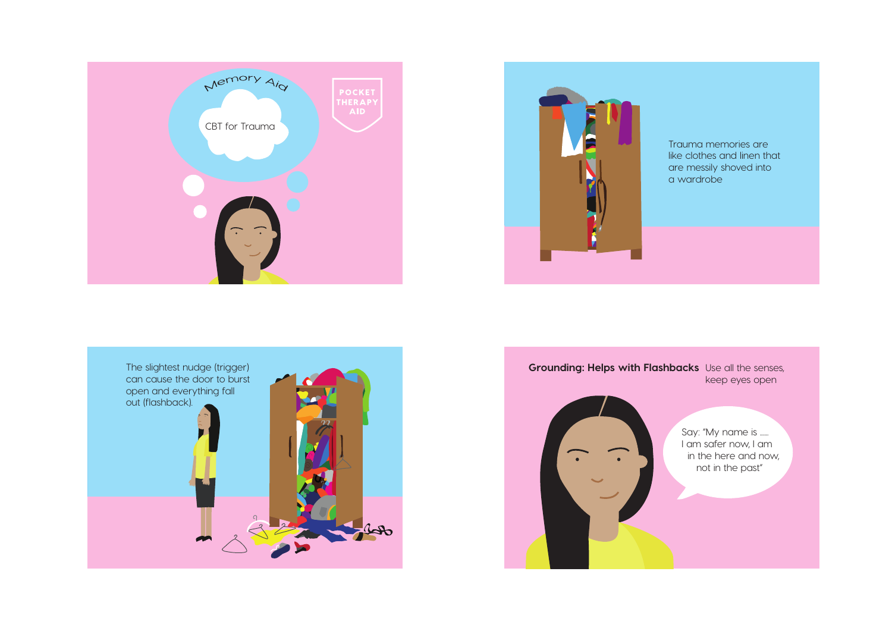



Trauma memories are like clothes and linen that are messily shoved into a wardrobe



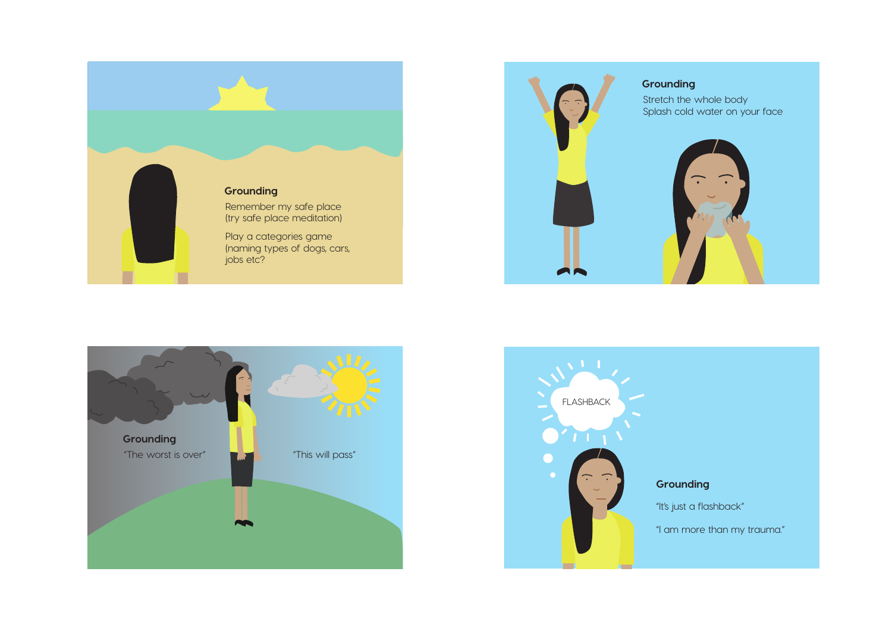





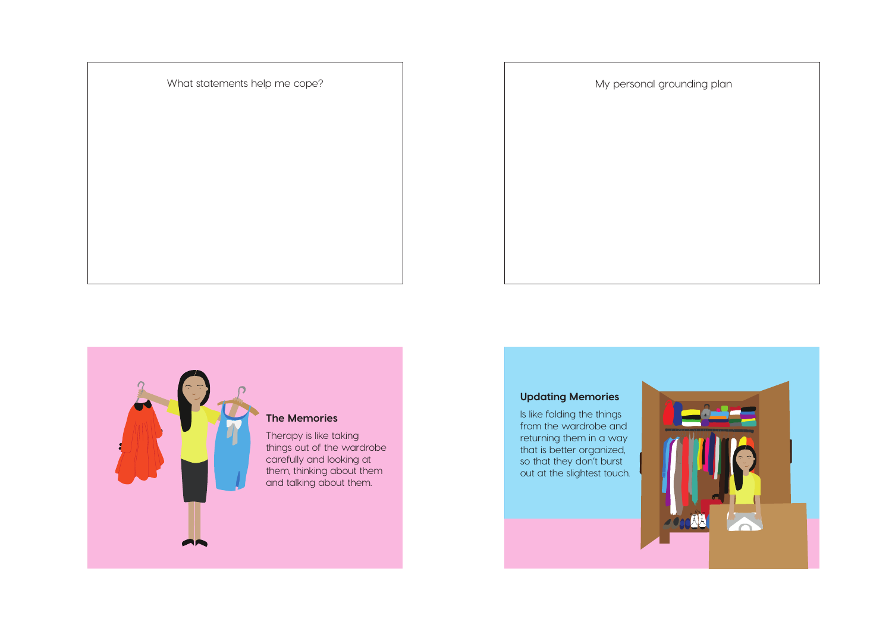What statements help me cope?





things out of the wardrobe carefully and looking at them, thinking about them and talking about them.

## **Updating Memories**

Is like folding the things from the wardrobe and returning them in a way that is better organized, so that they don't burst out at the slightest touch.

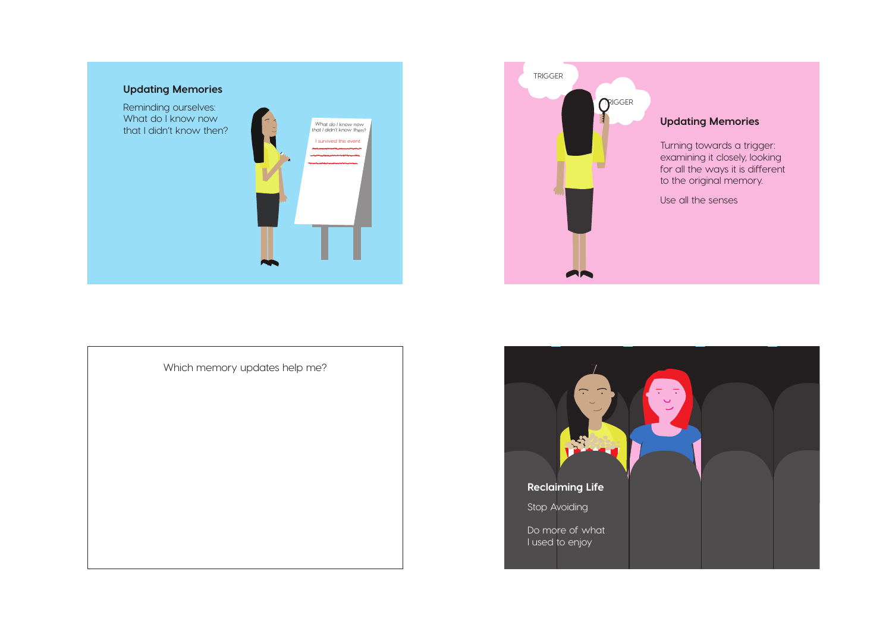